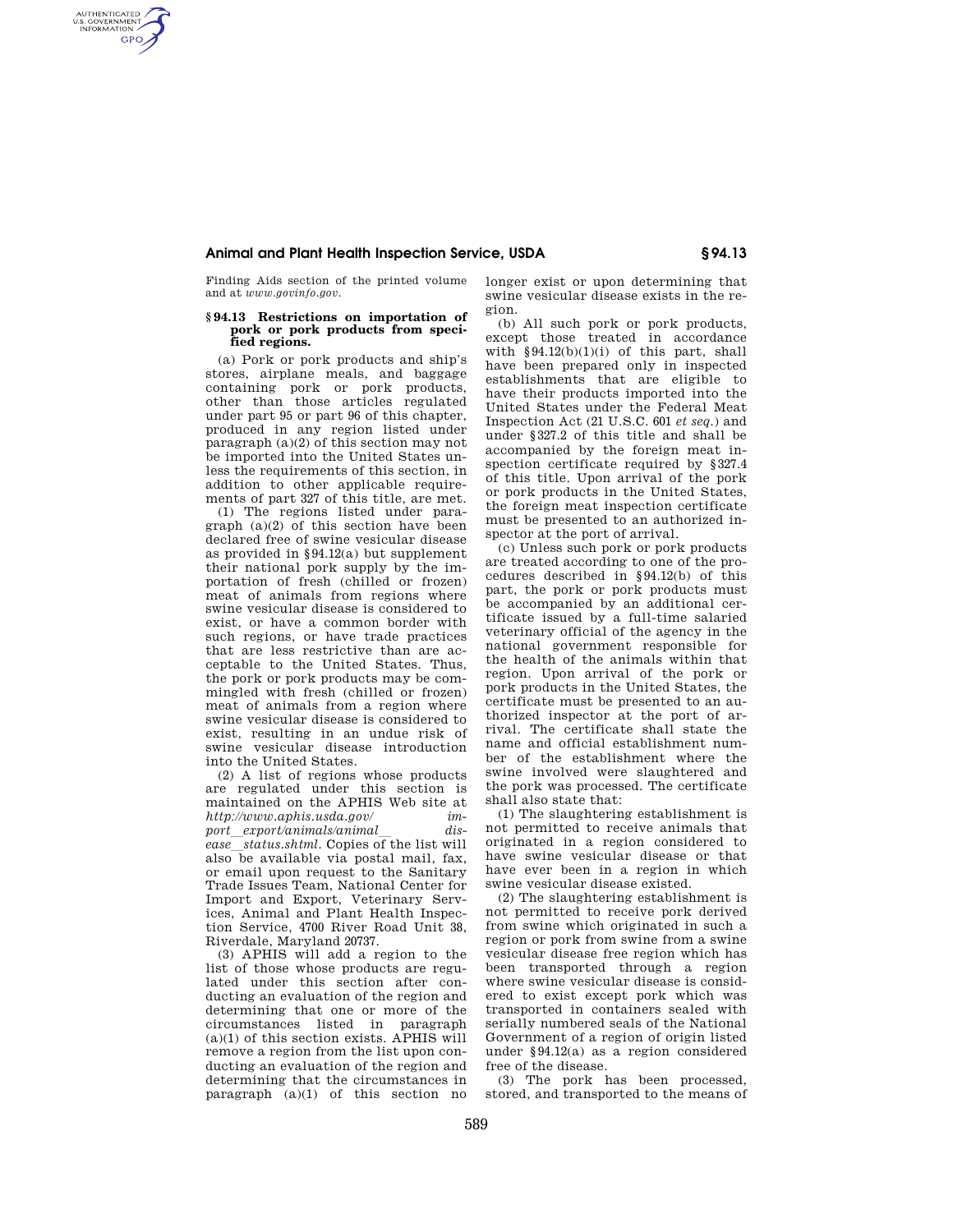## **Animal and Plant Health Inspection Service, USDA § 94.13**

Finding Aids section of the printed volume and at *www.govinfo.gov.* 

AUTHENTICATED<br>U.S. GOVERNMENT<br>INFORMATION **GPO** 

## **§ 94.13 Restrictions on importation of pork or pork products from specified regions.**

(a) Pork or pork products and ship's stores, airplane meals, and baggage containing pork or pork products, other than those articles regulated under part 95 or part 96 of this chapter, produced in any region listed under paragraph (a)(2) of this section may not be imported into the United States unless the requirements of this section, in addition to other applicable requirements of part 327 of this title, are met.

(1) The regions listed under paragraph (a)(2) of this section have been declared free of swine vesicular disease as provided in §94.12(a) but supplement their national pork supply by the importation of fresh (chilled or frozen) meat of animals from regions where swine vesicular disease is considered to exist, or have a common border with such regions, or have trade practices that are less restrictive than are acceptable to the United States. Thus, the pork or pork products may be commingled with fresh (chilled or frozen) meat of animals from a region where swine vesicular disease is considered to exist, resulting in an undue risk of swine vesicular disease introduction into the United States.

(2) A list of regions whose products are regulated under this section is maintained on the APHIS Web site at *http://www.aphis.usda.gov/ import*l*export/animals/animal*l *disease*l*status.shtml.* Copies of the list will also be available via postal mail, fax, or email upon request to the Sanitary Trade Issues Team, National Center for Import and Export, Veterinary Services, Animal and Plant Health Inspection Service, 4700 River Road Unit 38, Riverdale, Maryland 20737.

(3) APHIS will add a region to the list of those whose products are regulated under this section after conducting an evaluation of the region and determining that one or more of the circumstances listed in paragraph (a)(1) of this section exists. APHIS will remove a region from the list upon conducting an evaluation of the region and determining that the circumstances in paragraph  $(a)(1)$  of this section no longer exist or upon determining that swine vesicular disease exists in the region.

(b) All such pork or pork products, except those treated in accordance with  $§94.12(b)(1)(i)$  of this part, shall have been prepared only in inspected establishments that are eligible to have their products imported into the United States under the Federal Meat Inspection Act (21 U.S.C. 601 *et seq.*) and under §327.2 of this title and shall be accompanied by the foreign meat inspection certificate required by §327.4 of this title. Upon arrival of the pork or pork products in the United States, the foreign meat inspection certificate must be presented to an authorized inspector at the port of arrival.

(c) Unless such pork or pork products are treated according to one of the procedures described in §94.12(b) of this part, the pork or pork products must be accompanied by an additional certificate issued by a full-time salaried veterinary official of the agency in the national government responsible for the health of the animals within that region. Upon arrival of the pork or pork products in the United States, the certificate must be presented to an authorized inspector at the port of arrival. The certificate shall state the name and official establishment number of the establishment where the swine involved were slaughtered and the pork was processed. The certificate shall also state that:

(1) The slaughtering establishment is not permitted to receive animals that originated in a region considered to have swine vesicular disease or that have ever been in a region in which swine vesicular disease existed.

(2) The slaughtering establishment is not permitted to receive pork derived from swine which originated in such a region or pork from swine from a swine vesicular disease free region which has been transported through a region where swine vesicular disease is considered to exist except pork which was transported in containers sealed with serially numbered seals of the National Government of a region of origin listed under §94.12(a) as a region considered free of the disease.

(3) The pork has been processed, stored, and transported to the means of